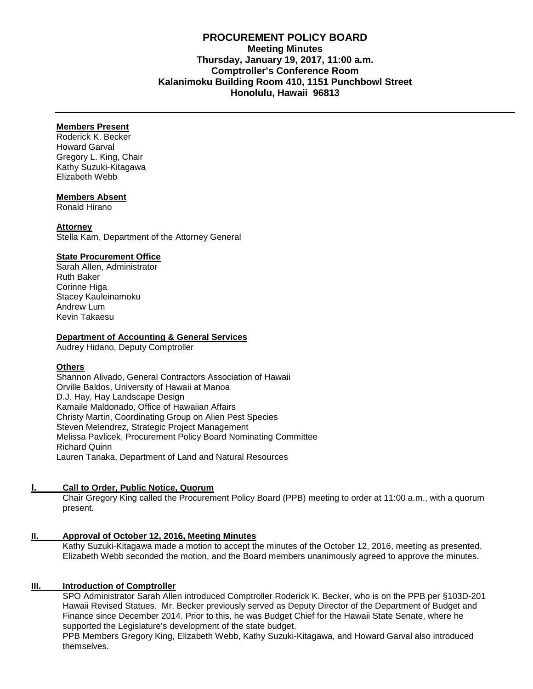# **PROCUREMENT POLICY BOARD Meeting Minutes Thursday, January 19, 2017, 11:00 a.m. Comptroller's Conference Room Kalanimoku Building Room 410, 1151 Punchbowl Street Honolulu, Hawaii 96813**

## **Members Present**

Roderick K. Becker Howard Garval Gregory L. King, Chair Kathy Suzuki-Kitagawa Elizabeth Webb

## **Members Absent**

Ronald Hirano

## **Attorney**

Stella Kam, Department of the Attorney General

## **State Procurement Office**

Sarah Allen, Administrator Ruth Baker Corinne Higa Stacey Kauleinamoku Andrew Lum Kevin Takaesu

#### **Department of Accounting & General Services**

Audrey Hidano, Deputy Comptroller

## **Others**

Shannon Alivado, General Contractors Association of Hawaii Orville Baldos, University of Hawaii at Manoa D.J. Hay, Hay Landscape Design Kamaile Maldonado, Office of Hawaiian Affairs Christy Martin, Coordinating Group on Alien Pest Species Steven Melendrez, Strategic Project Management Melissa Pavlicek, Procurement Policy Board Nominating Committee Richard Quinn Lauren Tanaka, Department of Land and Natural Resources

## **I. Call to Order, Public Notice, Quorum**

Chair Gregory King called the Procurement Policy Board (PPB) meeting to order at 11:00 a.m., with a quorum present.

## **II. Approval of October 12, 2016, [Meeting Minutes](http://spo.hawaii.gov/wp-content/uploads/2014/10/2014_0929-PROCUREMENT-POLICY-BOARD-minutes-DRAFT.pdf)**

Kathy Suzuki-Kitagawa made a motion to accept the minutes of the October 12, 2016, meeting as presented. Elizabeth Webb seconded the motion, and the Board members unanimously agreed to approve the minutes.

## **III. Introduction of Comptroller**

SPO Administrator Sarah Allen introduced Comptroller Roderick K. Becker, who is on the PPB per §103D-201 Hawaii Revised Statues. Mr. Becker previously served as Deputy Director of the Department of Budget and Finance since December 2014. Prior to this, he was Budget Chief for the Hawaii State Senate, where he supported the Legislature's development of the state budget.

PPB Members Gregory King, Elizabeth Webb, Kathy Suzuki-Kitagawa, and Howard Garval also introduced themselves.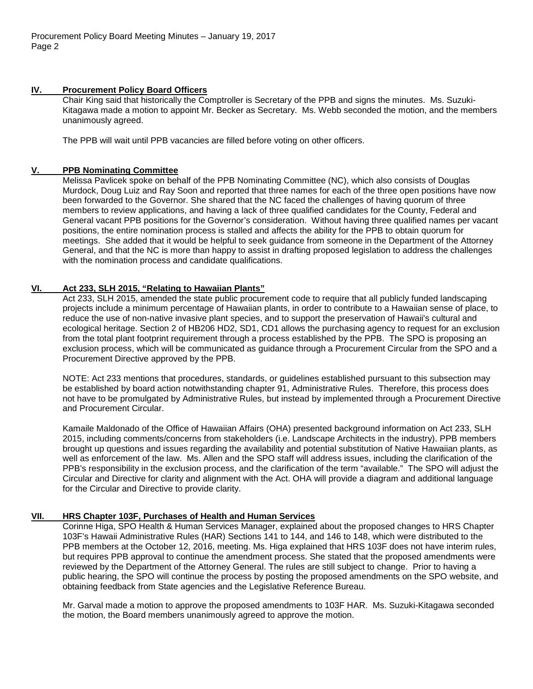## **IV. Procurement Policy Board Officers**

Chair King said that historically the Comptroller is Secretary of the PPB and signs the minutes. Ms. Suzuki-Kitagawa made a motion to appoint Mr. Becker as Secretary. Ms. Webb seconded the motion, and the members unanimously agreed.

The PPB will wait until PPB vacancies are filled before voting on other officers.

## **V. PPB Nominating Committee**

Melissa Pavlicek spoke on behalf of the PPB Nominating Committee (NC), which also consists of Douglas Murdock, Doug Luiz and Ray Soon and reported that three names for each of the three open positions have now been forwarded to the Governor. She shared that the NC faced the challenges of having quorum of three members to review applications, and having a lack of three qualified candidates for the County, Federal and General vacant PPB positions for the Governor's consideration. Without having three qualified names per vacant positions, the entire nomination process is stalled and affects the ability for the PPB to obtain quorum for meetings. She added that it would be helpful to seek guidance from someone in the Department of the Attorney General, and that the NC is more than happy to assist in drafting proposed legislation to address the challenges with the nomination process and candidate qualifications.

# **VI. Act 233, SLH 2015, "Relating to Hawaiian Plants"**

Act 233, SLH 2015, amended the state public procurement code to require that all publicly funded landscaping projects include a minimum percentage of Hawaiian plants, in order to contribute to a Hawaiian sense of place, to reduce the use of non-native invasive plant species, and to support the preservation of Hawaii's cultural and ecological heritage. Section 2 of HB206 HD2, SD1, CD1 allows the purchasing agency to request for an exclusion from the total plant footprint requirement through a process established by the PPB. The SPO is proposing an exclusion process, which will be communicated as guidance through a Procurement Circular from the SPO and a Procurement Directive approved by the PPB.

NOTE: Act 233 mentions that procedures, standards, or guidelines established pursuant to this subsection may be established by board action notwithstanding chapter 91, Administrative Rules. Therefore, this process does not have to be promulgated by Administrative Rules, but instead by implemented through a Procurement Directive and Procurement Circular.

Kamaile Maldonado of the Office of Hawaiian Affairs (OHA) presented background information on Act 233, SLH 2015, including comments/concerns from stakeholders (i.e. Landscape Architects in the industry). PPB members brought up questions and issues regarding the availability and potential substitution of Native Hawaiian plants, as well as enforcement of the law. Ms. Allen and the SPO staff will address issues, including the clarification of the PPB's responsibility in the exclusion process, and the clarification of the term "available." The SPO will adjust the Circular and Directive for clarity and alignment with the Act. OHA will provide a diagram and additional language for the Circular and Directive to provide clarity.

# **VII. HRS Chapter 103F, Purchases of Health and Human Services**

Corinne Higa, SPO Health & Human Services Manager, explained about the proposed changes to HRS Chapter 103F's Hawaii Administrative Rules (HAR) Sections 141 to 144, and 146 to 148, which were distributed to the PPB members at the October 12, 2016, meeting. Ms. Higa explained that HRS 103F does not have interim rules, but requires PPB approval to continue the amendment process. She stated that the proposed amendments were reviewed by the Department of the Attorney General. The rules are still subject to change. Prior to having a public hearing, the SPO will continue the process by posting the proposed amendments on the SPO website, and obtaining feedback from State agencies and the Legislative Reference Bureau.

Mr. Garval made a motion to approve the proposed amendments to 103F HAR. Ms. Suzuki-Kitagawa seconded the motion, the Board members unanimously agreed to approve the motion.